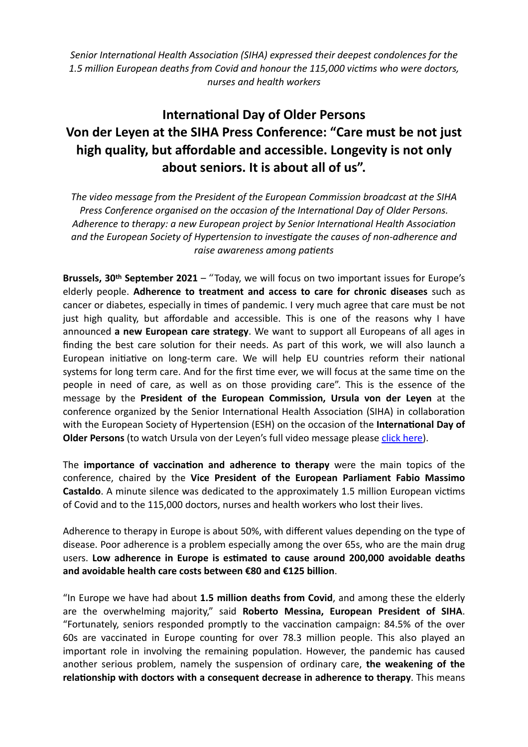*[Senior International Health Association \(SIHA\)](https://www.seniorinternationalhealthassociation.org/) expressed their deepest condolences for the 1.5 million European deaths from Covid and honour the 115,000 victims who were doctors, nurses and health workers*

## **International Day of Older Persons Von der Leyen at the SIHA Press Conference: "Care must be not just high quality, but affordable and accessible. Longevity is not only about seniors. It is about all of us".**

*The video message from the President of the European Commission broadcast at the SIHA Press Conference organised on the occasion of the International Day of Older Persons. Adherence to therapy: a new European project by Senior International Health Association and the European Society of Hypertension to investigate the causes of non-adherence and raise awareness among patients*

**Brussels, 30th September 2021** – "Today, we will focus on two important issues for Europe's elderly people. **Adherence to treatment and access to care for chronic diseases** such as cancer or diabetes, especially in times of pandemic. I very much agree that care must be not just high quality, but affordable and accessible. This is one of the reasons why I have announced **a new European care strategy**. We want to support all Europeans of all ages in finding the best care solution for their needs. As part of this work, we will also launch a European initiative on long-term care. We will help EU countries reform their national systems for long term care. And for the first time ever, we will focus at the same time on the people in need of care, as well as on those providing care". This is the essence of the message by the **President of the European Commission, Ursula von der Leyen** at the conference organized by the Senior International Health Association (SIHA) in collaboration with the European Society of Hypertension (ESH) on the occasion of the **International Day of Older Persons** (to watch Ursula von der Leyen's full video message please [click here](https://youtu.be/EhSpGt3baRY)).

The **importance of vaccination and adherence to therapy** were the main topics of the conference, chaired by the **Vice President of the European Parliament Fabio Massimo Castaldo**. A minute silence was dedicated to the approximately 1.5 million European victims of Covid and to the 115,000 doctors, nurses and health workers who lost their lives.

Adherence to therapy in Europe is about 50%, with different values depending on the type of disease. Poor adherence is a problem especially among the over 65s, who are the main drug users. **Low adherence in Europe is estimated to cause around 200,000 avoidable deaths and avoidable health care costs between €80 and €125 billion**.

"In Europe we have had about **1.5 million deaths from Covid**, and among these the elderly are the overwhelming majority," said **Roberto Messina, European President of SIHA**. "Fortunately, seniors responded promptly to the vaccination campaign: 84.5% of the over 60s are vaccinated in Europe counting for over 78.3 million people. This also played an important role in involving the remaining population. However, the pandemic has caused another serious problem, namely the suspension of ordinary care, **the weakening of the relationship with doctors with a consequent decrease in adherence to therapy**. This means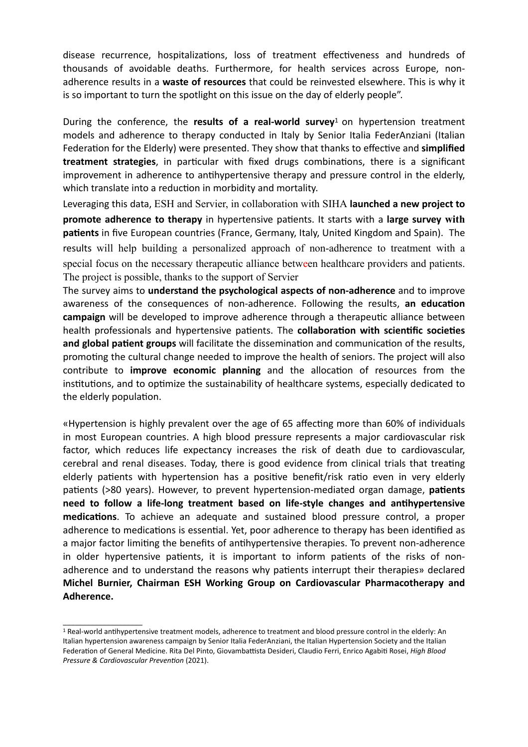disease recurrence, hospitalizations, loss of treatment effectiveness and hundreds of thousands of avoidable deaths. Furthermore, for health services across Europe, nonadherence results in a **waste of resources** that could be reinvested elsewhere. This is why it is so important to turn the spotlight on this issue on the day of elderly people".

During the conference, the **results of a real-world survey**1 on hypertension treatment models and adherence to therapy conducted in Italy by Senior Italia FederAnziani (Italian Federation for the Elderly) were presented. They show that thanks to effective and **simplified treatment strategies**, in particular with fixed drugs combinations, there is a significant improvement in adherence to antihypertensive therapy and pressure control in the elderly, which translate into a reduction in morbidity and mortality.

Leveraging this data, ESH and Servier, in collaboration with SIHA **launched a new project to promote adherence to therapy** in hypertensive patients. It starts with a **large survey with patients** in five European countries (France, Germany, Italy, United Kingdom and Spain). The results will help building a personalized approach of non-adherence to treatment with a special focus on the necessary therapeutic alliance between healthcare providers and patients. The project is possible, thanks to the support of Servier

The survey aims to **understand the psychological aspects of non-adherence** and to improve awareness of the consequences of non-adherence. Following the results, **an education campaign** will be developed to improve adherence through a therapeutic alliance between health professionals and hypertensive patients. The **collaboration with scientific societies and global patient groups** will facilitate the dissemination and communication of the results, promoting the cultural change needed to improve the health of seniors. The project will also contribute to **improve economic planning** and the allocation of resources from the institutions, and to optimize the sustainability of healthcare systems, especially dedicated to the elderly population.

«Hypertension is highly prevalent over the age of 65 affecting more than 60% of individuals in most European countries. A high blood pressure represents a major cardiovascular risk factor, which reduces life expectancy increases the risk of death due to cardiovascular, cerebral and renal diseases. Today, there is good evidence from clinical trials that treating elderly patients with hypertension has a positive benefit/risk ratio even in very elderly patients (>80 years). However, to prevent hypertension-mediated organ damage, **patients need to follow a life-long treatment based on life-style changes and antihypertensive medications**. To achieve an adequate and sustained blood pressure control, a proper adherence to medications is essential. Yet, poor adherence to therapy has been identified as a major factor limiting the benefits of antihypertensive therapies. To prevent non-adherence in older hypertensive patients, it is important to inform patients of the risks of nonadherence and to understand the reasons why patients interrupt their therapies» declared **Michel Burnier, Chairman ESH Working Group on Cardiovascular Pharmacotherapy and Adherence.**

\_\_\_\_\_\_\_\_\_\_\_\_\_\_\_\_\_\_\_\_

<sup>1</sup> Real-world antihypertensive treatment models, adherence to treatment and blood pressure control in the elderly: An Italian hypertension awareness campaign by Senior Italia FederAnziani, the Italian Hypertension Society and the Italian Federation of General Medicine. Rita Del Pinto, Giovambattista Desideri, Claudio Ferri, Enrico Agabiti Rosei, *High Blood Pressure & Cardiovascular Prevention* (2021).